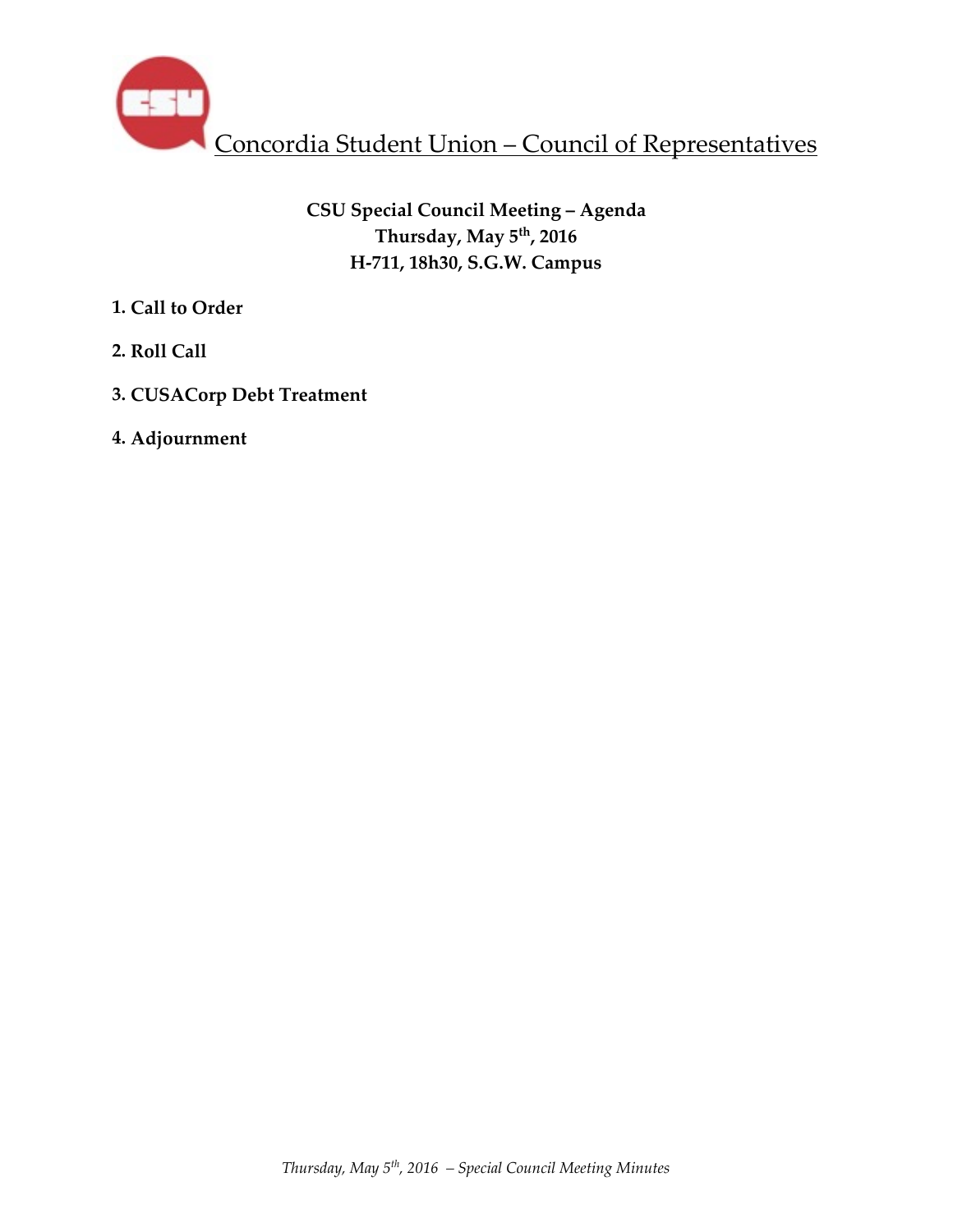

**CSU Special Council Meeting – Agenda Thursday, May 5th, 2016 H-711, 18h30, S.G.W. Campus** 

- **1. Call to Order**
- **2. Roll Call**
- **3. CUSACorp Debt Treatment**
- **4. Adjournment**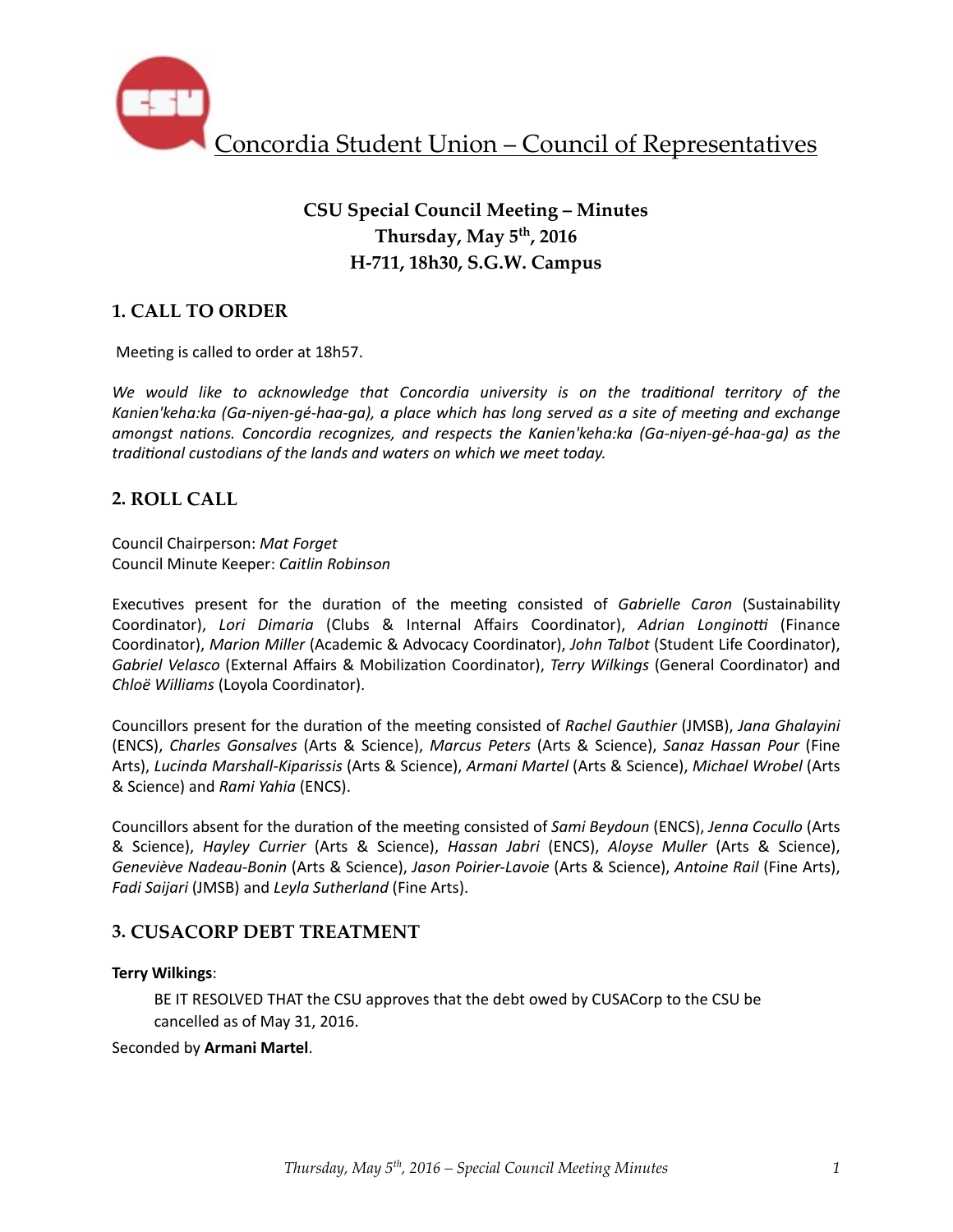

# **CSU Special Council Meeting – Minutes Thursday, May 5th, 2016 H-711, 18h30, S.G.W. Campus**

## **1. CALL TO ORDER**

Meeting is called to order at 18h57.

We would like to acknowledge that Concordia university is on the traditional territory of the Kanien'keha:ka (Ga-niyen-gé-haa-ga), a place which has long served as a site of meeting and exchange *amongst nations. Concordia recognizes, and respects the Kanien'keha:ka (Ga-niyen-gé-haa-ga)* as the *traditional custodians of the lands and waters on which we meet today.* 

## **2. ROLL CALL**

Council Chairperson: *Mat Forget* Council Minute Keeper: *Caitlin Robinson*

Executives present for the duration of the meeting consisted of *Gabrielle Caron* (Sustainability Coordinator), Lori Dimaria (Clubs & Internal Affairs Coordinator), Adrian Longinotti (Finance Coordinator), *Marion Miller* (Academic & Advocacy Coordinator), *John Talbot* (Student Life Coordinator), *Gabriel Velasco* (External Affairs & Mobilization Coordinator), *Terry Wilkings* (General Coordinator) and *Chloë Williams* (Loyola Coordinator). 

Councillors present for the duration of the meeting consisted of *Rachel Gauthier* (JMSB), *Jana Ghalayini* (ENCS), *Charles Gonsalves* (Arts & Science), *Marcus Peters* (Arts & Science), *Sanaz Hassan Pour* (Fine Arts), Lucinda Marshall-Kiparissis (Arts & Science), Armani Martel (Arts & Science), Michael Wrobel (Arts & Science) and *Rami Yahia* (ENCS). 

Councillors absent for the duration of the meeting consisted of *Sami Beydoun* (ENCS), *Jenna Cocullo* (Arts & Science), *Hayley Currier* (Arts & Science), *Hassan Jabri*  (ENCS), *Aloyse Muller* (Arts & Science), *Geneviève Nadeau-Bonin* (Arts & Science), *Jason Poirier-Lavoie* (Arts & Science), *Antoine Rail* (Fine Arts), *Fadi Saijari* (JMSB) and *Leyla Sutherland* (Fine Arts).

## **3. CUSACORP DEBT TREATMENT**

#### **Terry Wilkings**:

BE IT RESOLVED THAT the CSU approves that the debt owed by CUSACorp to the CSU be cancelled as of May 31, 2016.

Seconded by Armani Martel.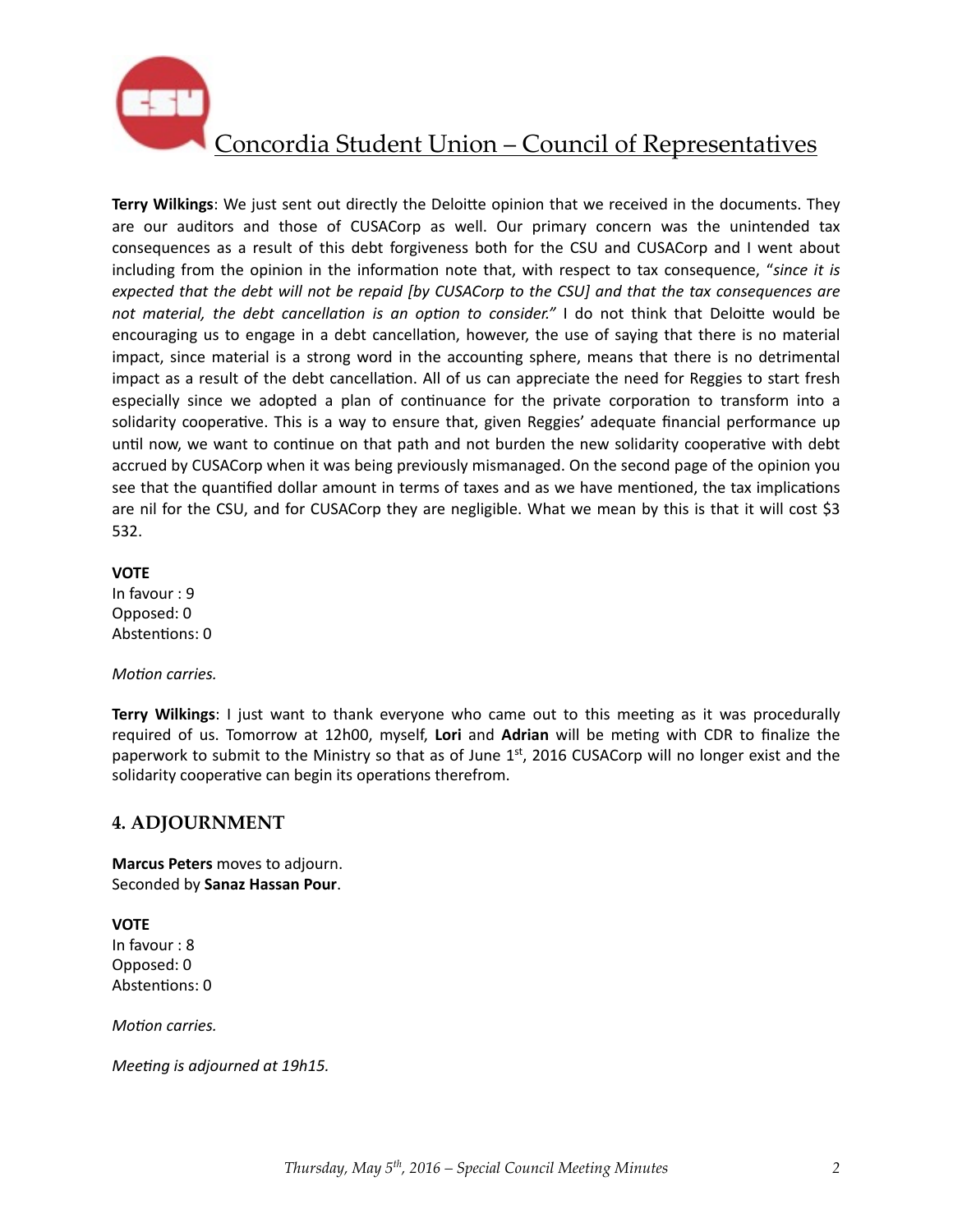

**Terry Wilkings:** We just sent out directly the Deloitte opinion that we received in the documents. They are our auditors and those of CUSACorp as well. Our primary concern was the unintended tax consequences as a result of this debt forgiveness both for the CSU and CUSACorp and I went about including from the opinion in the information note that, with respect to tax consequence, "since it is *expected that the debt will not be repaid [by CUSACorp to the CSU] and that the tax consequences are not material, the debt cancellation is an option to consider."* I do not think that Deloitte would be encouraging us to engage in a debt cancellation, however, the use of saying that there is no material impact, since material is a strong word in the accounting sphere, means that there is no detrimental impact as a result of the debt cancellation. All of us can appreciate the need for Reggies to start fresh especially since we adopted a plan of continuance for the private corporation to transform into a solidarity cooperative. This is a way to ensure that, given Reggies' adequate financial performance up until now, we want to continue on that path and not burden the new solidarity cooperative with debt accrued by CUSACorp when it was being previously mismanaged. On the second page of the opinion you see that the quantified dollar amount in terms of taxes and as we have mentioned, the tax implications are nil for the CSU, and for CUSACorp they are negligible. What we mean by this is that it will cost \$3 532. 

#### **VOTE**

In favour : 9 Opposed: 0 Abstentions: 0

#### *Motion carries.*

**Terry Wilkings**: I just want to thank everyone who came out to this meeting as it was procedurally required of us. Tomorrow at 12h00, myself, Lori and Adrian will be meting with CDR to finalize the paperwork to submit to the Ministry so that as of June  $1<sup>st</sup>$ , 2016 CUSACorp will no longer exist and the solidarity cooperative can begin its operations therefrom.

## **4. ADJOURNMENT**

**Marcus Peters** moves to adjourn. Seconded by **Sanaz Hassan Pour**. 

**VOTE** In favour : 8 Opposed: 0 Abstentions: 0

*Motion carries.* 

*Meeting is adjourned at 19h15.*